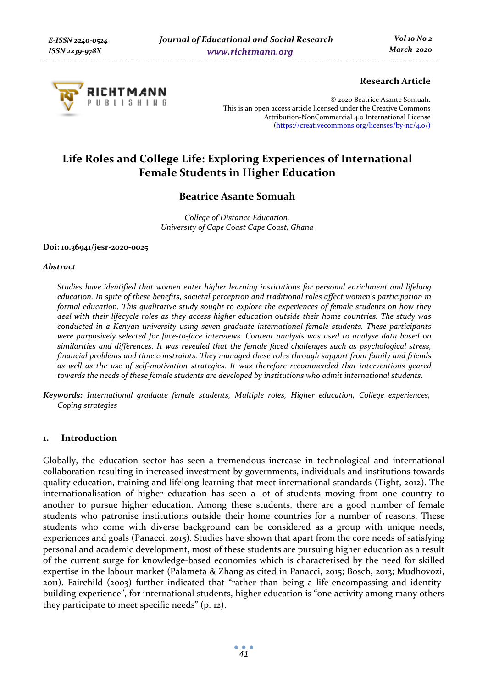

## **Research Article**

© 2020 Beatrice Asante Somuah. This is an open access article licensed under the Creative Commons Attribution-NonCommercial 4.0 International License (https://creativecommons.org/licenses/by-nc/4.0/)

# **Life Roles and College Life: Exploring Experiences of International Female Students in Higher Education**

# **Beatrice Asante Somuah**

*College of Distance Education, University of Cape Coast Cape Coast, Ghana* 

#### **Doi: 10.36941/jesr-2020-0025**

### *Abstract*

*Studies have identified that women enter higher learning institutions for personal enrichment and lifelong education. In spite of these benefits, societal perception and traditional roles affect women's participation in formal education. This qualitative study sought to explore the experiences of female students on how they deal with their lifecycle roles as they access higher education outside their home countries. The study was conducted in a Kenyan university using seven graduate international female students. These participants were purposively selected for face-to-face interviews. Content analysis was used to analyse data based on similarities and differences. It was revealed that the female faced challenges such as psychological stress, financial problems and time constraints. They managed these roles through support from family and friends as well as the use of self-motivation strategies. It was therefore recommended that interventions geared towards the needs of these female students are developed by institutions who admit international students.* 

*Keywords: International graduate female students, Multiple roles, Higher education, College experiences, Coping strategies* 

### **1. Introduction**

Globally, the education sector has seen a tremendous increase in technological and international collaboration resulting in increased investment by governments, individuals and institutions towards quality education, training and lifelong learning that meet international standards (Tight, 2012). The internationalisation of higher education has seen a lot of students moving from one country to another to pursue higher education. Among these students, there are a good number of female students who patronise institutions outside their home countries for a number of reasons. These students who come with diverse background can be considered as a group with unique needs, experiences and goals (Panacci, 2015). Studies have shown that apart from the core needs of satisfying personal and academic development, most of these students are pursuing higher education as a result of the current surge for knowledge-based economies which is characterised by the need for skilled expertise in the labour market (Palameta & Zhang as cited in Panacci, 2015; Bosch, 2013; Mudhovozi, 2011). Fairchild (2003) further indicated that "rather than being a life-encompassing and identitybuilding experience", for international students, higher education is "one activity among many others they participate to meet specific needs" (p. 12).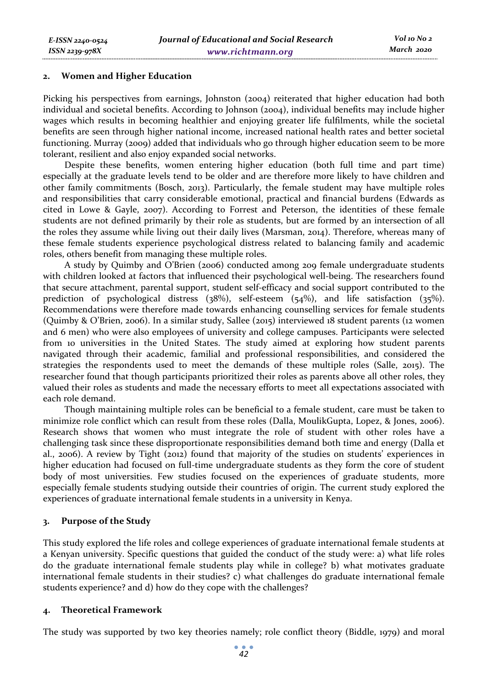*E-ISSN 2240-0524 ISSN 2239-978X*

Picking his perspectives from earnings, Johnston (2004) reiterated that higher education had both individual and societal benefits. According to Johnson (2004), individual benefits may include higher wages which results in becoming healthier and enjoying greater life fulfilments, while the societal benefits are seen through higher national income, increased national health rates and better societal functioning. Murray (2009) added that individuals who go through higher education seem to be more tolerant, resilient and also enjoy expanded social networks.

Despite these benefits, women entering higher education (both full time and part time) especially at the graduate levels tend to be older and are therefore more likely to have children and other family commitments (Bosch, 2013). Particularly, the female student may have multiple roles and responsibilities that carry considerable emotional, practical and financial burdens (Edwards as cited in Lowe & Gayle, 2007). According to Forrest and Peterson, the identities of these female students are not defined primarily by their role as students, but are formed by an intersection of all the roles they assume while living out their daily lives (Marsman, 2014). Therefore, whereas many of these female students experience psychological distress related to balancing family and academic roles, others benefit from managing these multiple roles.

A study by Quimby and O'Brien (2006) conducted among 209 female undergraduate students with children looked at factors that influenced their psychological well-being. The researchers found that secure attachment, parental support, student self-efficacy and social support contributed to the prediction of psychological distress (38%), self-esteem (54%), and life satisfaction (35%). Recommendations were therefore made towards enhancing counselling services for female students (Quimby & O'Brien, 2006). In a similar study, Sallee (2015) interviewed 18 student parents (12 women and 6 men) who were also employees of university and college campuses. Participants were selected from 10 universities in the United States. The study aimed at exploring how student parents navigated through their academic, familial and professional responsibilities, and considered the strategies the respondents used to meet the demands of these multiple roles (Salle, 2015). The researcher found that though participants prioritized their roles as parents above all other roles, they valued their roles as students and made the necessary efforts to meet all expectations associated with each role demand.

Though maintaining multiple roles can be beneficial to a female student, care must be taken to minimize role conflict which can result from these roles (Dalla, MoulikGupta, Lopez, & Jones, 2006). Research shows that women who must integrate the role of student with other roles have a challenging task since these disproportionate responsibilities demand both time and energy (Dalla et al., 2006). A review by Tight (2012) found that majority of the studies on students' experiences in higher education had focused on full-time undergraduate students as they form the core of student body of most universities. Few studies focused on the experiences of graduate students, more especially female students studying outside their countries of origin. The current study explored the experiences of graduate international female students in a university in Kenya.

### **3. Purpose of the Study**

This study explored the life roles and college experiences of graduate international female students at a Kenyan university. Specific questions that guided the conduct of the study were: a) what life roles do the graduate international female students play while in college? b) what motivates graduate international female students in their studies? c) what challenges do graduate international female students experience? and d) how do they cope with the challenges?

### **4. Theoretical Framework**

The study was supported by two key theories namely; role conflict theory (Biddle, 1979) and moral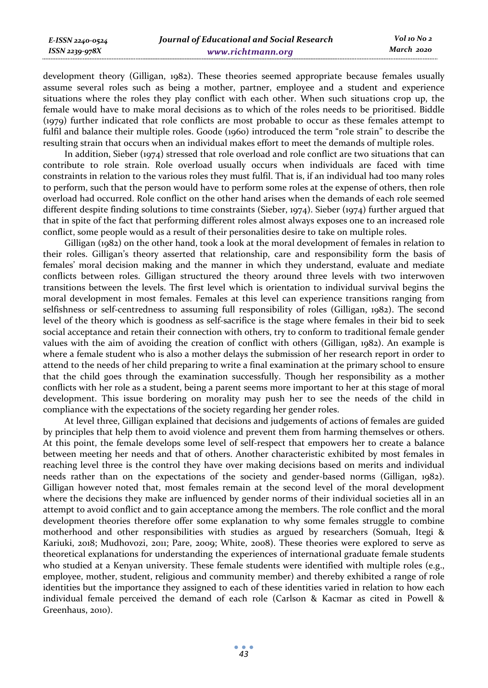development theory (Gilligan, 1982). These theories seemed appropriate because females usually assume several roles such as being a mother, partner, employee and a student and experience situations where the roles they play conflict with each other. When such situations crop up, the female would have to make moral decisions as to which of the roles needs to be prioritised. Biddle (1979) further indicated that role conflicts are most probable to occur as these females attempt to fulfil and balance their multiple roles. Goode (1960) introduced the term "role strain" to describe the resulting strain that occurs when an individual makes effort to meet the demands of multiple roles.

In addition, Sieber (1974) stressed that role overload and role conflict are two situations that can contribute to role strain. Role overload usually occurs when individuals are faced with time constraints in relation to the various roles they must fulfil. That is, if an individual had too many roles to perform, such that the person would have to perform some roles at the expense of others, then role overload had occurred. Role conflict on the other hand arises when the demands of each role seemed different despite finding solutions to time constraints (Sieber, 1974). Sieber (1974) further argued that that in spite of the fact that performing different roles almost always exposes one to an increased role conflict, some people would as a result of their personalities desire to take on multiple roles.

Gilligan (1982) on the other hand, took a look at the moral development of females in relation to their roles. Gilligan's theory asserted that relationship, care and responsibility form the basis of females' moral decision making and the manner in which they understand, evaluate and mediate conflicts between roles. Gilligan structured the theory around three levels with two interwoven transitions between the levels. The first level which is orientation to individual survival begins the moral development in most females. Females at this level can experience transitions ranging from selfishness or self-centredness to assuming full responsibility of roles (Gilligan, 1982). The second level of the theory which is goodness as self-sacrifice is the stage where females in their bid to seek social acceptance and retain their connection with others, try to conform to traditional female gender values with the aim of avoiding the creation of conflict with others (Gilligan, 1982). An example is where a female student who is also a mother delays the submission of her research report in order to attend to the needs of her child preparing to write a final examination at the primary school to ensure that the child goes through the examination successfully. Though her responsibility as a mother conflicts with her role as a student, being a parent seems more important to her at this stage of moral development. This issue bordering on morality may push her to see the needs of the child in compliance with the expectations of the society regarding her gender roles.

At level three, Gilligan explained that decisions and judgements of actions of females are guided by principles that help them to avoid violence and prevent them from harming themselves or others. At this point, the female develops some level of self-respect that empowers her to create a balance between meeting her needs and that of others. Another characteristic exhibited by most females in reaching level three is the control they have over making decisions based on merits and individual needs rather than on the expectations of the society and gender-based norms (Gilligan, 1982). Gilligan however noted that, most females remain at the second level of the moral development where the decisions they make are influenced by gender norms of their individual societies all in an attempt to avoid conflict and to gain acceptance among the members. The role conflict and the moral development theories therefore offer some explanation to why some females struggle to combine motherhood and other responsibilities with studies as argued by researchers (Somuah, Itegi & Kariuki, 2018; Mudhovozi, 2011; Pare, 2009; White, 2008). These theories were explored to serve as theoretical explanations for understanding the experiences of international graduate female students who studied at a Kenyan university. These female students were identified with multiple roles (e.g., employee, mother, student, religious and community member) and thereby exhibited a range of role identities but the importance they assigned to each of these identities varied in relation to how each individual female perceived the demand of each role (Carlson & Kacmar as cited in Powell & Greenhaus, 2010).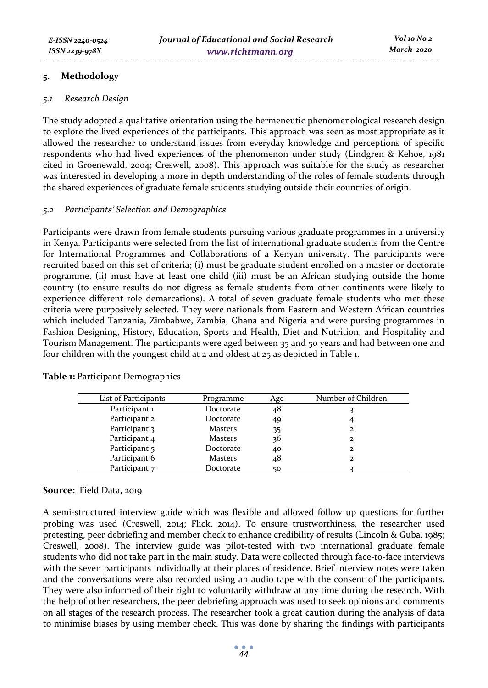### **5. Methodology**

### *5.1 Research Design*

The study adopted a qualitative orientation using the hermeneutic phenomenological research design to explore the lived experiences of the participants. This approach was seen as most appropriate as it allowed the researcher to understand issues from everyday knowledge and perceptions of specific respondents who had lived experiences of the phenomenon under study (Lindgren & Kehoe, 1981 cited in Groenewald, 2004; Creswell, 2008). This approach was suitable for the study as researcher was interested in developing a more in depth understanding of the roles of female students through the shared experiences of graduate female students studying outside their countries of origin.

### *5.2 Participants' Selection and Demographics*

Participants were drawn from female students pursuing various graduate programmes in a university in Kenya. Participants were selected from the list of international graduate students from the Centre for International Programmes and Collaborations of a Kenyan university. The participants were recruited based on this set of criteria; (i) must be graduate student enrolled on a master or doctorate programme, (ii) must have at least one child (iii) must be an African studying outside the home country (to ensure results do not digress as female students from other continents were likely to experience different role demarcations). A total of seven graduate female students who met these criteria were purposively selected. They were nationals from Eastern and Western African countries which included Tanzania, Zimbabwe, Zambia, Ghana and Nigeria and were pursing programmes in Fashion Designing, History, Education, Sports and Health, Diet and Nutrition, and Hospitality and Tourism Management. The participants were aged between 35 and 50 years and had between one and four children with the youngest child at 2 and oldest at 25 as depicted in Table 1.

| Programme      | Age | Number of Children |
|----------------|-----|--------------------|
| Doctorate      | 48  |                    |
| Doctorate      | 49  |                    |
| <b>Masters</b> | 35  | 2                  |
| <b>Masters</b> | 36  | $\mathbf{z}$       |
| Doctorate      | 40  | 2                  |
| <b>Masters</b> | 48  | 2                  |
| Doctorate      | 50  |                    |
|                |     |                    |

**Table 1:** Participant Demographics

### **Source:** Field Data, 2019

A semi-structured interview guide which was flexible and allowed follow up questions for further probing was used (Creswell, 2014; Flick, 2014). To ensure trustworthiness, the researcher used pretesting, peer debriefing and member check to enhance credibility of results (Lincoln & Guba, 1985; Creswell, 2008). The interview guide was pilot-tested with two international graduate female students who did not take part in the main study. Data were collected through face-to-face interviews with the seven participants individually at their places of residence. Brief interview notes were taken and the conversations were also recorded using an audio tape with the consent of the participants. They were also informed of their right to voluntarily withdraw at any time during the research. With the help of other researchers, the peer debriefing approach was used to seek opinions and comments on all stages of the research process. The researcher took a great caution during the analysis of data to minimise biases by using member check. This was done by sharing the findings with participants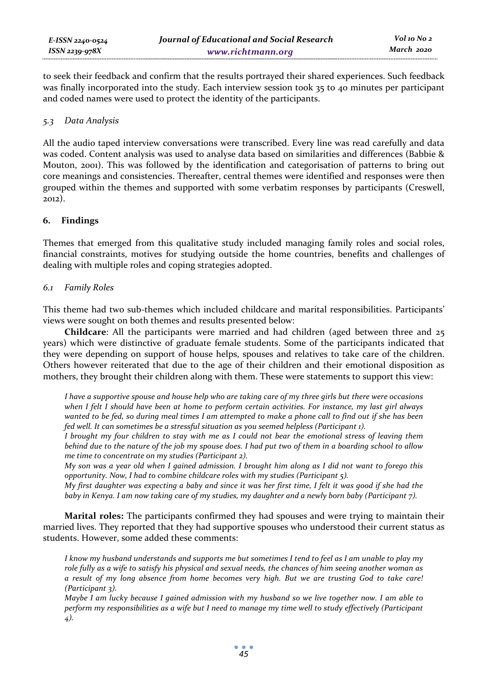to seek their feedback and confirm that the results portrayed their shared experiences. Such feedback was finally incorporated into the study. Each interview session took 35 to 40 minutes per participant and coded names were used to protect the identity of the participants.

### *5.3 Data Analysis*

All the audio taped interview conversations were transcribed. Every line was read carefully and data was coded. Content analysis was used to analyse data based on similarities and differences (Babbie & Mouton, 2001). This was followed by the identification and categorisation of patterns to bring out core meanings and consistencies. Thereafter, central themes were identified and responses were then grouped within the themes and supported with some verbatim responses by participants (Creswell, 2012).

### **6. Findings**

Themes that emerged from this qualitative study included managing family roles and social roles, financial constraints, motives for studying outside the home countries, benefits and challenges of dealing with multiple roles and coping strategies adopted.

### *6.1 Family Roles*

This theme had two sub-themes which included childcare and marital responsibilities. Participants' views were sought on both themes and results presented below:

**Childcare**: All the participants were married and had children (aged between three and 25 years) which were distinctive of graduate female students. Some of the participants indicated that they were depending on support of house helps, spouses and relatives to take care of the children. Others however reiterated that due to the age of their children and their emotional disposition as mothers, they brought their children along with them. These were statements to support this view:

*I have a supportive spouse and house help who are taking care of my three girls but there were occasions when I felt I should have been at home to perform certain activities. For instance, my last girl always wanted to be fed, so during meal times I am attempted to make a phone call to find out if she has been fed well. It can sometimes be a stressful situation as you seemed helpless (Participant 1).* 

*I brought my four children to stay with me as I could not bear the emotional stress of leaving them behind due to the nature of the job my spouse does. I had put two of them in a boarding school to allow me time to concentrate on my studies (Participant 2).* 

*My son was a year old when I gained admission. I brought him along as I did not want to forego this opportunity. Now, I had to combine childcare roles with my studies (Participant 5).* 

*My first daughter was expecting a baby and since it was her first time, I felt it was good if she had the baby in Kenya. I am now taking care of my studies, my daughter and a newly born baby (Participant 7).* 

**Marital roles:** The participants confirmed they had spouses and were trying to maintain their married lives. They reported that they had supportive spouses who understood their current status as students. However, some added these comments:

*I know my husband understands and supports me but sometimes I tend to feel as I am unable to play my role fully as a wife to satisfy his physical and sexual needs, the chances of him seeing another woman as a result of my long absence from home becomes very high. But we are trusting God to take care! (Participant 3).* 

*Maybe I am lucky because I gained admission with my husband so we live together now. I am able to perform my responsibilities as a wife but I need to manage my time well to study effectively (Participant 4).*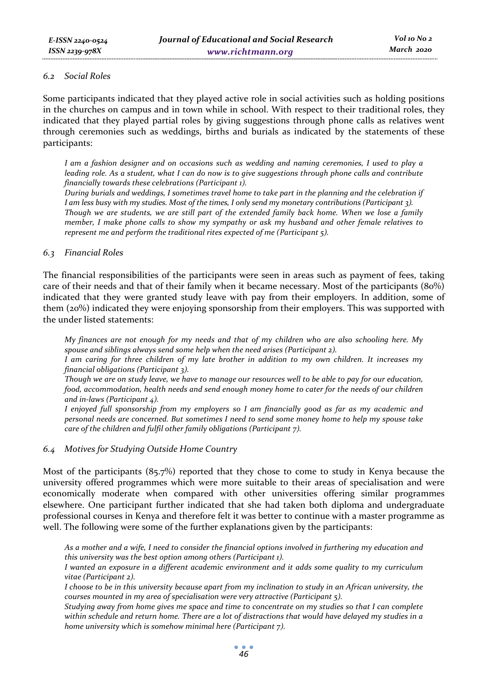#### *6.2 Social Roles*

Some participants indicated that they played active role in social activities such as holding positions in the churches on campus and in town while in school. With respect to their traditional roles, they indicated that they played partial roles by giving suggestions through phone calls as relatives went through ceremonies such as weddings, births and burials as indicated by the statements of these participants:

*I am a fashion designer and on occasions such as wedding and naming ceremonies, I used to play a leading role. As a student, what I can do now is to give suggestions through phone calls and contribute financially towards these celebrations (Participant 1).* 

*During burials and weddings, I sometimes travel home to take part in the planning and the celebration if I am less busy with my studies. Most of the times, I only send my monetary contributions (Participant 3). Though we are students, we are still part of the extended family back home. When we lose a family member, I make phone calls to show my sympathy or ask my husband and other female relatives to represent me and perform the traditional rites expected of me (Participant 5).* 

### *6.3 Financial Roles*

The financial responsibilities of the participants were seen in areas such as payment of fees, taking care of their needs and that of their family when it became necessary. Most of the participants (80%) indicated that they were granted study leave with pay from their employers. In addition, some of them (20%) indicated they were enjoying sponsorship from their employers. This was supported with the under listed statements:

*My finances are not enough for my needs and that of my children who are also schooling here. My spouse and siblings always send some help when the need arises (Participant 2).* 

*I am caring for three children of my late brother in addition to my own children. It increases my financial obligations (Participant 3).* 

*Though we are on study leave, we have to manage our resources well to be able to pay for our education, food, accommodation, health needs and send enough money home to cater for the needs of our children and in-laws (Participant 4).* 

*I enjoyed full sponsorship from my employers so I am financially good as far as my academic and personal needs are concerned. But sometimes I need to send some money home to help my spouse take care of the children and fulfil other family obligations (Participant 7).* 

#### *6.4 Motives for Studying Outside Home Country*

Most of the participants (85.7%) reported that they chose to come to study in Kenya because the university offered programmes which were more suitable to their areas of specialisation and were economically moderate when compared with other universities offering similar programmes elsewhere. One participant further indicated that she had taken both diploma and undergraduate professional courses in Kenya and therefore felt it was better to continue with a master programme as well. The following were some of the further explanations given by the participants:

*As a mother and a wife, I need to consider the financial options involved in furthering my education and this university was the best option among others (Participant 1).* 

*I wanted an exposure in a different academic environment and it adds some quality to my curriculum vitae (Participant 2).* 

*I choose to be in this university because apart from my inclination to study in an African university, the courses mounted in my area of specialisation were very attractive (Participant 5).* 

*Studying away from home gives me space and time to concentrate on my studies so that I can complete within schedule and return home. There are a lot of distractions that would have delayed my studies in a home university which is somehow minimal here (Participant 7).*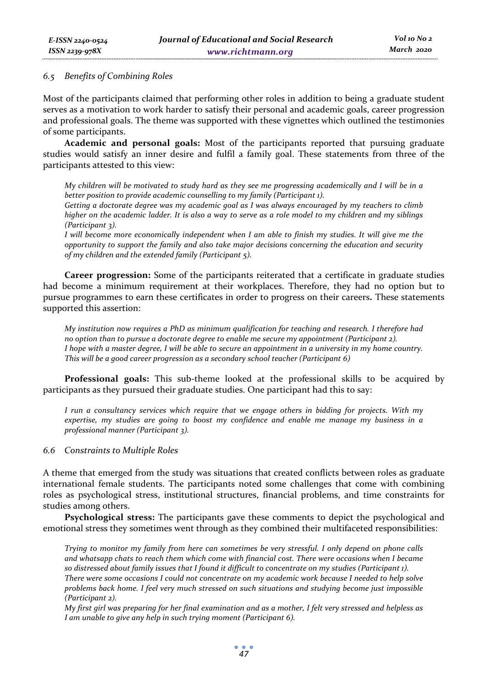### *6.5 Benefits of Combining Roles*

Most of the participants claimed that performing other roles in addition to being a graduate student serves as a motivation to work harder to satisfy their personal and academic goals, career progression and professional goals. The theme was supported with these vignettes which outlined the testimonies of some participants.

**Academic and personal goals:** Most of the participants reported that pursuing graduate studies would satisfy an inner desire and fulfil a family goal. These statements from three of the participants attested to this view:

*My children will be motivated to study hard as they see me progressing academically and I will be in a better position to provide academic counselling to my family (Participant 1).* 

*Getting a doctorate degree was my academic goal as I was always encouraged by my teachers to climb higher on the academic ladder. It is also a way to serve as a role model to my children and my siblings (Participant 3).* 

*I will become more economically independent when I am able to finish my studies. It will give me the opportunity to support the family and also take major decisions concerning the education and security of my children and the extended family (Participant 5).* 

**Career progression:** Some of the participants reiterated that a certificate in graduate studies had become a minimum requirement at their workplaces. Therefore, they had no option but to pursue programmes to earn these certificates in order to progress on their careers**.** These statements supported this assertion:

*My institution now requires a PhD as minimum qualification for teaching and research. I therefore had no option than to pursue a doctorate degree to enable me secure my appointment (Participant 2). I hope with a master degree, I will be able to secure an appointment in a university in my home country. This will be a good career progression as a secondary school teacher (Participant 6)* 

**Professional goals:** This sub-theme looked at the professional skills to be acquired by participants as they pursued their graduate studies. One participant had this to say:

*I run a consultancy services which require that we engage others in bidding for projects. With my expertise, my studies are going to boost my confidence and enable me manage my business in a professional manner (Participant 3).* 

### *6.6 Constraints to Multiple Roles*

A theme that emerged from the study was situations that created conflicts between roles as graduate international female students. The participants noted some challenges that come with combining roles as psychological stress, institutional structures, financial problems, and time constraints for studies among others.

**Psychological stress:** The participants gave these comments to depict the psychological and emotional stress they sometimes went through as they combined their multifaceted responsibilities:

*Trying to monitor my family from here can sometimes be very stressful. I only depend on phone calls and whatsapp chats to reach them which come with financial cost. There were occasions when I became so distressed about family issues that I found it difficult to concentrate on my studies (Participant 1). There were some occasions I could not concentrate on my academic work because I needed to help solve problems back home. I feel very much stressed on such situations and studying become just impossible (Participant 2).* 

*My first girl was preparing for her final examination and as a mother, I felt very stressed and helpless as I am unable to give any help in such trying moment (Participant 6).*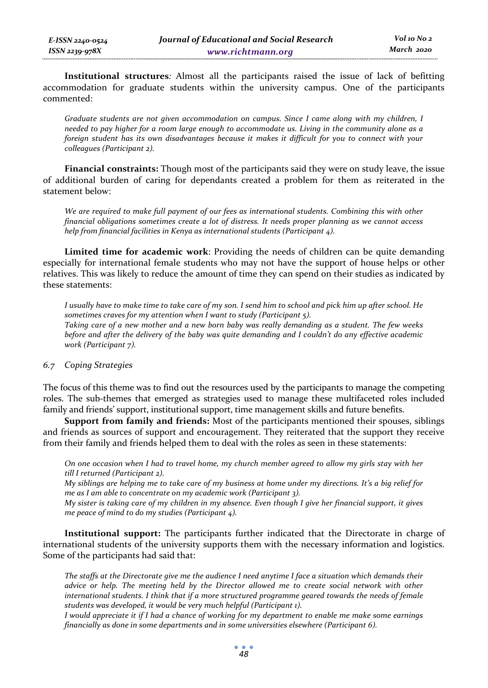**Institutional structures***:* Almost all the participants raised the issue of lack of befitting accommodation for graduate students within the university campus. One of the participants commented:

*Graduate students are not given accommodation on campus. Since I came along with my children, I needed to pay higher for a room large enough to accommodate us. Living in the community alone as a foreign student has its own disadvantages because it makes it difficult for you to connect with your colleagues (Participant 2).* 

**Financial constraints:** Though most of the participants said they were on study leave, the issue of additional burden of caring for dependants created a problem for them as reiterated in the statement below:

*We are required to make full payment of our fees as international students. Combining this with other financial obligations sometimes create a lot of distress. It needs proper planning as we cannot access help from financial facilities in Kenya as international students (Participant 4).* 

**Limited time for academic work**: Providing the needs of children can be quite demanding especially for international female students who may not have the support of house helps or other relatives. This was likely to reduce the amount of time they can spend on their studies as indicated by these statements:

*I usually have to make time to take care of my son. I send him to school and pick him up after school. He sometimes craves for my attention when I want to study (Participant 5). Taking care of a new mother and a new born baby was really demanding as a student. The few weeks before and after the delivery of the baby was quite demanding and I couldn't do any effective academic work (Participant 7).* 

### *6.7 Coping Strategies*

The focus of this theme was to find out the resources used by the participants to manage the competing roles. The sub-themes that emerged as strategies used to manage these multifaceted roles included family and friends' support, institutional support, time management skills and future benefits.

**Support from family and friends:** Most of the participants mentioned their spouses, siblings and friends as sources of support and encouragement. They reiterated that the support they receive from their family and friends helped them to deal with the roles as seen in these statements:

*On one occasion when I had to travel home, my church member agreed to allow my girls stay with her till I returned (Participant 2).* 

*My siblings are helping me to take care of my business at home under my directions. It's a big relief for me as I am able to concentrate on my academic work (Participant 3).* 

*My sister is taking care of my children in my absence. Even though I give her financial support, it gives me peace of mind to do my studies (Participant 4).* 

**Institutional support:** The participants further indicated that the Directorate in charge of international students of the university supports them with the necessary information and logistics. Some of the participants had said that:

*The staffs at the Directorate give me the audience I need anytime I face a situation which demands their advice or help. The meeting held by the Director allowed me to create social network with other international students. I think that if a more structured programme geared towards the needs of female students was developed, it would be very much helpful (Participant 1).* 

*I would appreciate it if I had a chance of working for my department to enable me make some earnings financially as done in some departments and in some universities elsewhere (Participant 6).*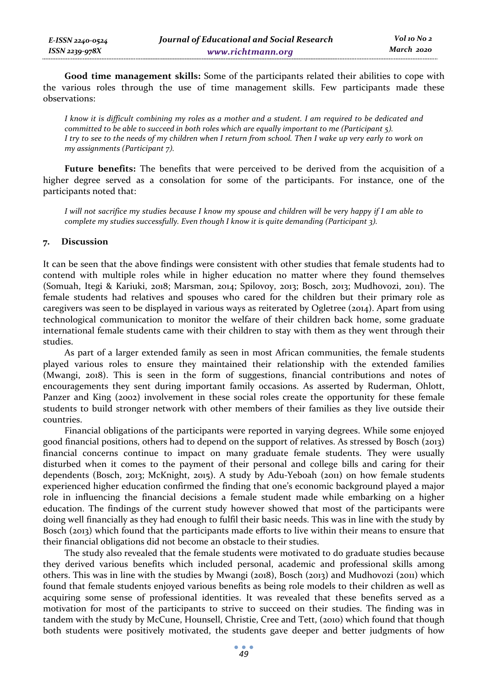**Good time management skills:** Some of the participants related their abilities to cope with the various roles through the use of time management skills. Few participants made these observations:

*I know it is difficult combining my roles as a mother and a student. I am required to be dedicated and committed to be able to succeed in both roles which are equally important to me (Participant 5). I try to see to the needs of my children when I return from school. Then I wake up very early to work on my assignments (Participant 7).* 

**Future benefits:** The benefits that were perceived to be derived from the acquisition of a higher degree served as a consolation for some of the participants. For instance, one of the participants noted that:

*I will not sacrifice my studies because I know my spouse and children will be very happy if I am able to complete my studies successfully. Even though I know it is quite demanding (Participant 3).* 

### **7. Discussion**

It can be seen that the above findings were consistent with other studies that female students had to contend with multiple roles while in higher education no matter where they found themselves (Somuah, Itegi & Kariuki, 2018; Marsman, 2014; Spilovoy, 2013; Bosch, 2013; Mudhovozi, 2011). The female students had relatives and spouses who cared for the children but their primary role as caregivers was seen to be displayed in various ways as reiterated by Ogletree (2014). Apart from using technological communication to monitor the welfare of their children back home, some graduate international female students came with their children to stay with them as they went through their studies.

As part of a larger extended family as seen in most African communities, the female students played various roles to ensure they maintained their relationship with the extended families (Mwangi, 2018). This is seen in the form of suggestions, financial contributions and notes of encouragements they sent during important family occasions. As asserted by Ruderman, Ohlott, Panzer and King (2002) involvement in these social roles create the opportunity for these female students to build stronger network with other members of their families as they live outside their countries.

Financial obligations of the participants were reported in varying degrees. While some enjoyed good financial positions, others had to depend on the support of relatives. As stressed by Bosch (2013) financial concerns continue to impact on many graduate female students. They were usually disturbed when it comes to the payment of their personal and college bills and caring for their dependents (Bosch, 2013; McKnight, 2015). A study by Adu-Yeboah (2011) on how female students experienced higher education confirmed the finding that one's economic background played a major role in influencing the financial decisions a female student made while embarking on a higher education. The findings of the current study however showed that most of the participants were doing well financially as they had enough to fulfil their basic needs. This was in line with the study by Bosch (2013) which found that the participants made efforts to live within their means to ensure that their financial obligations did not become an obstacle to their studies.

The study also revealed that the female students were motivated to do graduate studies because they derived various benefits which included personal, academic and professional skills among others. This was in line with the studies by Mwangi (2018), Bosch (2013) and Mudhovozi (2011) which found that female students enjoyed various benefits as being role models to their children as well as acquiring some sense of professional identities. It was revealed that these benefits served as a motivation for most of the participants to strive to succeed on their studies. The finding was in tandem with the study by McCune, Hounsell, Christie, Cree and Tett, (2010) which found that though both students were positively motivated, the students gave deeper and better judgments of how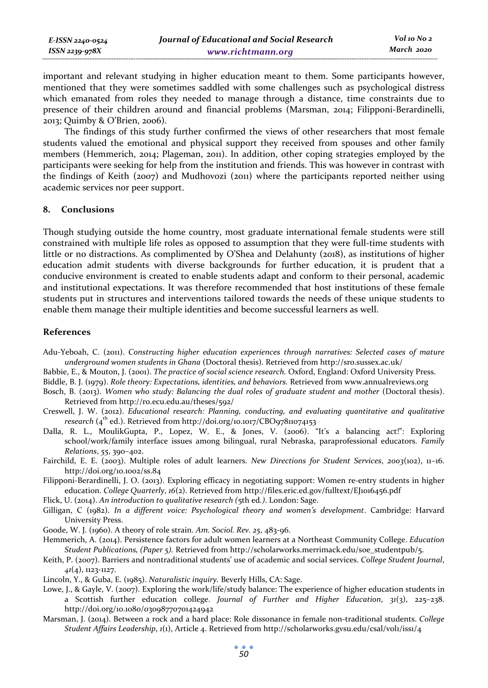| E-ISSN 2240-0524 | Journal of Educational and Social Research | Vol 10 No 2 |
|------------------|--------------------------------------------|-------------|
| ISSN 2239-978X   | www.richtmann.org                          | March 2020  |

important and relevant studying in higher education meant to them. Some participants however, mentioned that they were sometimes saddled with some challenges such as psychological distress which emanated from roles they needed to manage through a distance, time constraints due to presence of their children around and financial problems (Marsman, 2014; Filipponi-Berardinelli, 2013; Quimby & O'Brien, 2006).

The findings of this study further confirmed the views of other researchers that most female students valued the emotional and physical support they received from spouses and other family members (Hemmerich, 2014; Plageman, 2011). In addition, other coping strategies employed by the participants were seeking for help from the institution and friends. This was however in contrast with the findings of Keith (2007) and Mudhovozi (2011) where the participants reported neither using academic services nor peer support.

#### **8. Conclusions**

Though studying outside the home country, most graduate international female students were still constrained with multiple life roles as opposed to assumption that they were full-time students with little or no distractions. As complimented by O'Shea and Delahunty (2018), as institutions of higher education admit students with diverse backgrounds for further education, it is prudent that a conducive environment is created to enable students adapt and conform to their personal, academic and institutional expectations. It was therefore recommended that host institutions of these female students put in structures and interventions tailored towards the needs of these unique students to enable them manage their multiple identities and become successful learners as well.

#### **References**

Adu-Yeboah, C. (2011). *Constructing higher education experiences through narratives: Selected cases of mature underground women students in Ghana* (Doctoral thesis). Retrieved from http://sro.sussex.ac.uk/

Babbie, E., & Mouton, J. (2001). *The practice of social science research.* Oxford, England: Oxford University Press.

Biddle, B. J. (1979). *Role theory: Expectations, identities, and behaviors.* Retrieved from www.annualreviews.org

- Bosch, B. (2013). *Women who study: Balancing the dual roles of graduate student and mother* (Doctoral thesis). Retrieved from http://ro.ecu.edu.au/theses/592/
- Creswell, J. W. (2012). *Educational research: Planning, conducting, and evaluating quantitative and qualitative research*  $(4<sup>th</sup>$  ed.). Retrieved from http://doi.org/10.1017/CBO97811074153
- Dalla, R. L., MoulikGupta, P., Lopez, W. E., & Jones, V. (2006). "It's a balancing act!": Exploring school/work/family interface issues among bilingual, rural Nebraska, paraprofessional educators. *Family Relations*, *55*, 390–402.
- Fairchild, E. E. (2003). Multiple roles of adult learners. *New Directions for Student Services*, *2003*(102), 11–16. http://doi.org/10.1002/ss.84
- Filipponi-Berardinelli, J. O. (2013). Exploring efficacy in negotiating support: Women re-entry students in higher education. *College Quarterly*, *16*(2). Retrieved from http://files.eric.ed.gov/fulltext/EJ1016456.pdf
- Flick, U. (2014). *An introduction to qualitative research (*5th ed*.)*. London: Sage.
- Gilligan, C (1982). *In a different voice: Psychological theory and women's development*. Cambridge: Harvard University Press.
- Goode, W. J. (1960). A theory of role strain. *Am. Sociol. Rev. 25*, 483-96.
- Hemmerich, A. (2014). Persistence factors for adult women learners at a Northeast Community College. *Education Student Publications, (Paper 5).* Retrieved from http://scholarworks.merrimack.edu/soe\_studentpub/5.
- Keith, P. (2007). Barriers and nontraditional students' use of academic and social services. *College Student Journal*, *41*(4), 1123-1127.
- Lincoln, Y., & Guba, E. (1985). *Naturalistic inquiry.* Beverly Hills, CA: Sage.
- Lowe, J., & Gayle, V. (2007). Exploring the work/life/study balance: The experience of higher education students in a Scottish further education college. *Journal of Further and Higher Education*, *31*(3), 225–238. http://doi.org/10.1080/03098770701424942
- Marsman, J. (2014). Between a rock and a hard place: Role dissonance in female non-traditional students. *College Student Affairs Leadership*, *1*(1), Article 4. Retrieved from http://scholarworks.gvsu.edu/csal/vol1/iss1/4